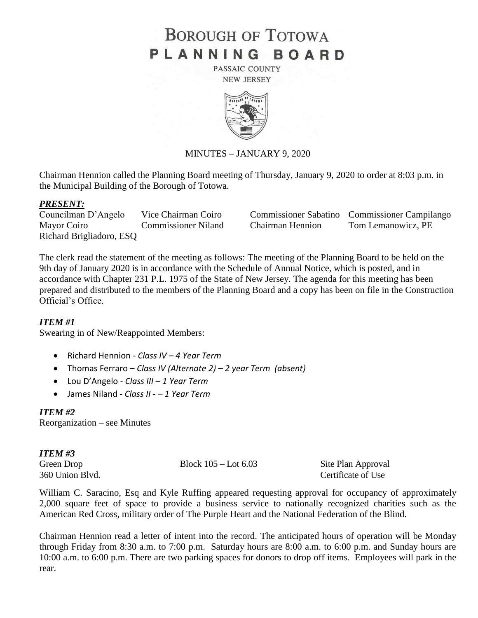# **BOROUGH OF TOTOWA** PLANNING BOARD

PASSAIC COUNTY **NEW JERSEY** 



# MINUTES – JANUARY 9, 2020

Chairman Hennion called the Planning Board meeting of Thursday, January 9, 2020 to order at 8:03 p.m. in the Municipal Building of the Borough of Totowa.

### *PRESENT:*

Richard Brigliadoro, ESQ

Councilman D'Angelo Vice Chairman Coiro Commissioner Sabatino Commissioner Campilango Mayor Coiro Commissioner Niland Chairman Hennion Tom Lemanowicz, PE

The clerk read the statement of the meeting as follows: The meeting of the Planning Board to be held on the 9th day of January 2020 is in accordance with the Schedule of Annual Notice, which is posted, and in accordance with Chapter 231 P.L. 1975 of the State of New Jersey. The agenda for this meeting has been prepared and distributed to the members of the Planning Board and a copy has been on file in the Construction Official's Office.

# *ITEM #1*

Swearing in of New/Reappointed Members:

- Richard Hennion *Class IV – 4 Year Term*
- Thomas Ferraro *Class IV (Alternate 2) – 2 year Term (absent)*
- Lou D'Angelo *- Class III – 1 Year Term*
- James Niland *Class II - – 1 Year Term*

# *ITEM #2*

Reorganization – see Minutes

*ITEM #3*

Green Drop Block 105 – Lot 6.03 Site Plan Approval

360 Union Blvd. Certificate of Use

William C. Saracino, Esq and Kyle Ruffing appeared requesting approval for occupancy of approximately 2,000 square feet of space to provide a business service to nationally recognized charities such as the American Red Cross, military order of The Purple Heart and the National Federation of the Blind.

Chairman Hennion read a letter of intent into the record. The anticipated hours of operation will be Monday through Friday from 8:30 a.m. to 7:00 p.m. Saturday hours are 8:00 a.m. to 6:00 p.m. and Sunday hours are 10:00 a.m. to 6:00 p.m. There are two parking spaces for donors to drop off items. Employees will park in the rear.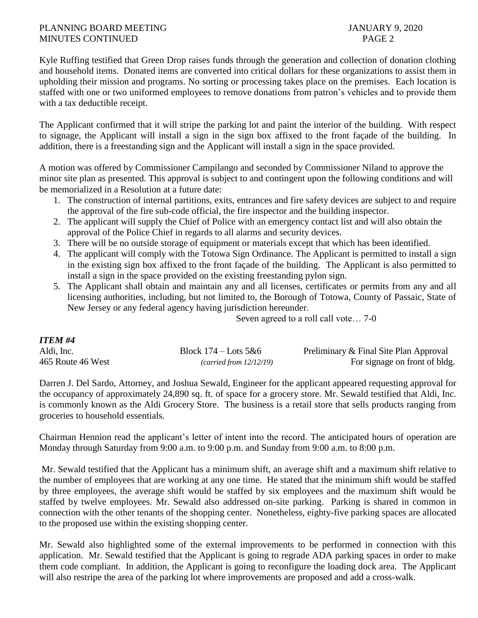Kyle Ruffing testified that Green Drop raises funds through the generation and collection of donation clothing and household items. Donated items are converted into critical dollars for these organizations to assist them in upholding their mission and programs. No sorting or processing takes place on the premises. Each location is staffed with one or two uniformed employees to remove donations from patron's vehicles and to provide them with a tax deductible receipt.

The Applicant confirmed that it will stripe the parking lot and paint the interior of the building. With respect to signage, the Applicant will install a sign in the sign box affixed to the front façade of the building. In addition, there is a freestanding sign and the Applicant will install a sign in the space provided.

A motion was offered by Commissioner Campilango and seconded by Commissioner Niland to approve the minor site plan as presented. This approval is subject to and contingent upon the following conditions and will be memorialized in a Resolution at a future date:

- 1. The construction of internal partitions, exits, entrances and fire safety devices are subject to and require the approval of the fire sub-code official, the fire inspector and the building inspector.
- 2. The applicant will supply the Chief of Police with an emergency contact list and will also obtain the approval of the Police Chief in regards to all alarms and security devices.
- 3. There will be no outside storage of equipment or materials except that which has been identified.
- 4. The applicant will comply with the Totowa Sign Ordinance. The Applicant is permitted to install a sign in the existing sign box affixed to the front façade of the building. The Applicant is also permitted to install a sign in the space provided on the existing freestanding pylon sign.
- 5. The Applicant shall obtain and maintain any and all licenses, certificates or permits from any and all licensing authorities, including, but not limited to, the Borough of Totowa, County of Passaic, State of New Jersey or any federal agency having jurisdiction hereunder.

Seven agreed to a roll call vote… 7-0

| <b>ITEM #4</b>    |                          |                                        |
|-------------------|--------------------------|----------------------------------------|
| Aldi, Inc.        | Block $174 -$ Lots $5&6$ | Preliminary & Final Site Plan Approval |
| 465 Route 46 West | (carried from 12/12/19)  | For signage on front of bldg.          |

Darren J. Del Sardo, Attorney, and Joshua Sewald, Engineer for the applicant appeared requesting approval for the occupancy of approximately 24,890 sq. ft. of space for a grocery store. Mr. Sewald testified that Aldi, Inc. is commonly known as the Aldi Grocery Store. The business is a retail store that sells products ranging from groceries to household essentials.

Chairman Hennion read the applicant's letter of intent into the record. The anticipated hours of operation are Monday through Saturday from 9:00 a.m. to 9:00 p.m. and Sunday from 9:00 a.m. to 8:00 p.m.

Mr. Sewald testified that the Applicant has a minimum shift, an average shift and a maximum shift relative to the number of employees that are working at any one time. He stated that the minimum shift would be staffed by three employees, the average shift would be staffed by six employees and the maximum shift would be staffed by twelve employees. Mr. Sewald also addressed on-site parking. Parking is shared in common in connection with the other tenants of the shopping center. Nonetheless, eighty-five parking spaces are allocated to the proposed use within the existing shopping center.

Mr. Sewald also highlighted some of the external improvements to be performed in connection with this application. Mr. Sewald testified that the Applicant is going to regrade ADA parking spaces in order to make them code compliant. In addition, the Applicant is going to reconfigure the loading dock area. The Applicant will also restripe the area of the parking lot where improvements are proposed and add a cross-walk.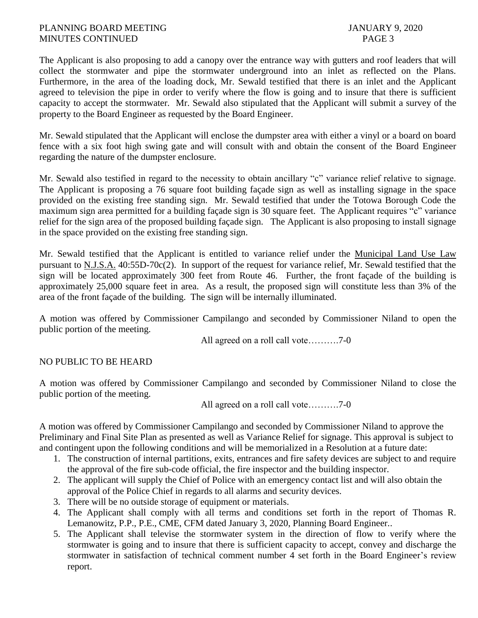The Applicant is also proposing to add a canopy over the entrance way with gutters and roof leaders that will collect the stormwater and pipe the stormwater underground into an inlet as reflected on the Plans. Furthermore, in the area of the loading dock, Mr. Sewald testified that there is an inlet and the Applicant agreed to television the pipe in order to verify where the flow is going and to insure that there is sufficient capacity to accept the stormwater. Mr. Sewald also stipulated that the Applicant will submit a survey of the property to the Board Engineer as requested by the Board Engineer.

Mr. Sewald stipulated that the Applicant will enclose the dumpster area with either a vinyl or a board on board fence with a six foot high swing gate and will consult with and obtain the consent of the Board Engineer regarding the nature of the dumpster enclosure.

Mr. Sewald also testified in regard to the necessity to obtain ancillary "c" variance relief relative to signage. The Applicant is proposing a 76 square foot building façade sign as well as installing signage in the space provided on the existing free standing sign. Mr. Sewald testified that under the Totowa Borough Code the maximum sign area permitted for a building façade sign is 30 square feet. The Applicant requires "c" variance relief for the sign area of the proposed building façade sign. The Applicant is also proposing to install signage in the space provided on the existing free standing sign.

Mr. Sewald testified that the Applicant is entitled to variance relief under the Municipal Land Use Law pursuant to N.J.S.A. 40:55D-70c(2). In support of the request for variance relief, Mr. Sewald testified that the sign will be located approximately 300 feet from Route 46. Further, the front façade of the building is approximately 25,000 square feet in area. As a result, the proposed sign will constitute less than 3% of the area of the front façade of the building. The sign will be internally illuminated.

A motion was offered by Commissioner Campilango and seconded by Commissioner Niland to open the public portion of the meeting.

All agreed on a roll call vote……….7-0

# NO PUBLIC TO BE HEARD

A motion was offered by Commissioner Campilango and seconded by Commissioner Niland to close the public portion of the meeting.

All agreed on a roll call vote……….7-0

A motion was offered by Commissioner Campilango and seconded by Commissioner Niland to approve the Preliminary and Final Site Plan as presented as well as Variance Relief for signage. This approval is subject to and contingent upon the following conditions and will be memorialized in a Resolution at a future date:

- 1. The construction of internal partitions, exits, entrances and fire safety devices are subject to and require the approval of the fire sub-code official, the fire inspector and the building inspector.
- 2. The applicant will supply the Chief of Police with an emergency contact list and will also obtain the approval of the Police Chief in regards to all alarms and security devices.
- 3. There will be no outside storage of equipment or materials.
- 4. The Applicant shall comply with all terms and conditions set forth in the report of Thomas R. Lemanowitz, P.P., P.E., CME, CFM dated January 3, 2020, Planning Board Engineer..
- 5. The Applicant shall televise the stormwater system in the direction of flow to verify where the stormwater is going and to insure that there is sufficient capacity to accept, convey and discharge the stormwater in satisfaction of technical comment number 4 set forth in the Board Engineer's review report.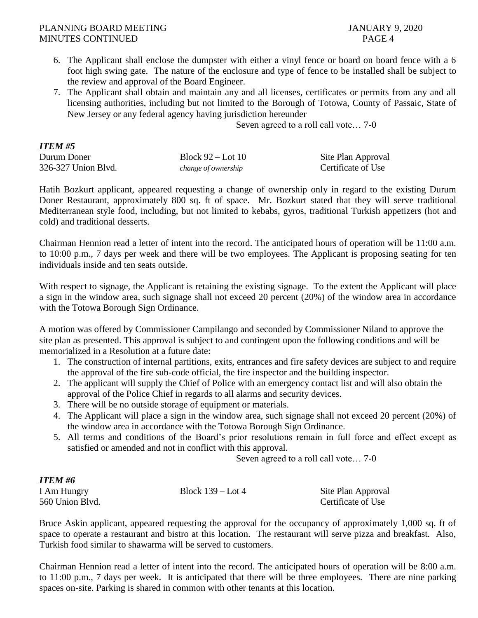- 6. The Applicant shall enclose the dumpster with either a vinyl fence or board on board fence with a 6 foot high swing gate. The nature of the enclosure and type of fence to be installed shall be subject to the review and approval of the Board Engineer.
- 7. The Applicant shall obtain and maintain any and all licenses, certificates or permits from any and all licensing authorities, including but not limited to the Borough of Totowa, County of Passaic, State of New Jersey or any federal agency having jurisdiction hereunder

Seven agreed to a roll call vote… 7-0

| <b>ITEM #5</b>      |                     |                    |
|---------------------|---------------------|--------------------|
| Durum Doner         | Block $92 -$ Lot 10 | Site Plan Approval |
| 326-327 Union Blvd. | change of ownership | Certificate of Use |

Hatih Bozkurt applicant, appeared requesting a change of ownership only in regard to the existing Durum Doner Restaurant, approximately 800 sq. ft of space. Mr. Bozkurt stated that they will serve traditional Mediterranean style food, including, but not limited to kebabs, gyros, traditional Turkish appetizers (hot and cold) and traditional desserts.

Chairman Hennion read a letter of intent into the record. The anticipated hours of operation will be 11:00 a.m. to 10:00 p.m., 7 days per week and there will be two employees. The Applicant is proposing seating for ten individuals inside and ten seats outside.

With respect to signage, the Applicant is retaining the existing signage. To the extent the Applicant will place a sign in the window area, such signage shall not exceed 20 percent (20%) of the window area in accordance with the Totowa Borough Sign Ordinance.

A motion was offered by Commissioner Campilango and seconded by Commissioner Niland to approve the site plan as presented. This approval is subject to and contingent upon the following conditions and will be memorialized in a Resolution at a future date:

- 1. The construction of internal partitions, exits, entrances and fire safety devices are subject to and require the approval of the fire sub-code official, the fire inspector and the building inspector.
- 2. The applicant will supply the Chief of Police with an emergency contact list and will also obtain the approval of the Police Chief in regards to all alarms and security devices.
- 3. There will be no outside storage of equipment or materials.
- 4. The Applicant will place a sign in the window area, such signage shall not exceed 20 percent (20%) of the window area in accordance with the Totowa Borough Sign Ordinance.
- 5. All terms and conditions of the Board's prior resolutions remain in full force and effect except as satisfied or amended and not in conflict with this approval.

Seven agreed to a roll call vote… 7-0

# *ITEM #6*

| I Am Hungry     | Block $139 -$ Lot 4 | Site Plan Approval |
|-----------------|---------------------|--------------------|
| 560 Union Blvd. |                     | Certificate of Use |

Bruce Askin applicant, appeared requesting the approval for the occupancy of approximately 1,000 sq. ft of space to operate a restaurant and bistro at this location. The restaurant will serve pizza and breakfast. Also, Turkish food similar to shawarma will be served to customers.

Chairman Hennion read a letter of intent into the record. The anticipated hours of operation will be 8:00 a.m. to 11:00 p.m., 7 days per week. It is anticipated that there will be three employees. There are nine parking spaces on-site. Parking is shared in common with other tenants at this location.